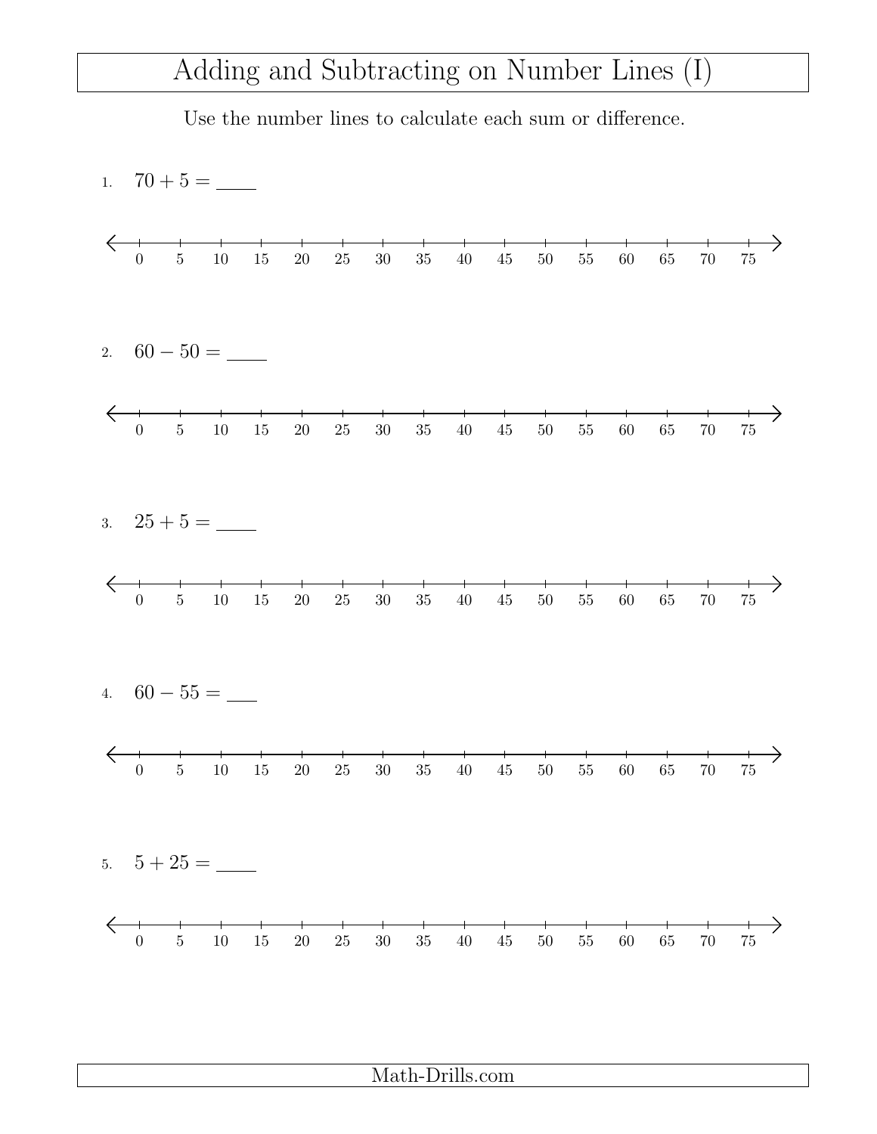## Adding and Subtracting on Number Lines (I)

Use the number lines to calculate each sum or difference.

Math-Drills.com